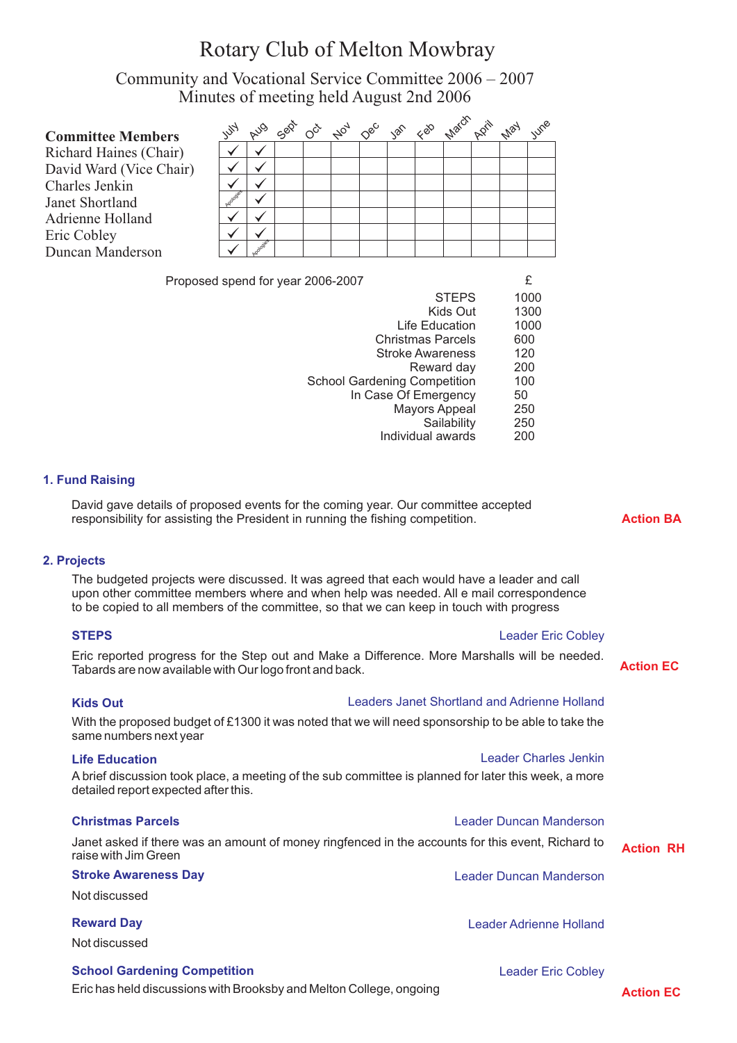# Rotary Club of Melton Mowbray

Community and Vocational Service Committee 2006 – 2007 Minutes of meeting held August 2nd 2006

| <b>Committee Members</b> | $z^2$ | <b>AUG</b> |  | Sept 00 that 08° 38° 48° there pain they |  |  | IUMP |
|--------------------------|-------|------------|--|------------------------------------------|--|--|------|
| Richard Haines (Chair)   |       |            |  |                                          |  |  |      |
| David Ward (Vice Chair)  |       |            |  |                                          |  |  |      |
| Charles Jenkin           |       |            |  |                                          |  |  |      |
| Janet Shortland          |       |            |  |                                          |  |  |      |
| Adrienne Holland         |       |            |  |                                          |  |  |      |
| Eric Cobley              |       |            |  |                                          |  |  |      |
| Duncan Manderson         |       |            |  |                                          |  |  |      |
|                          |       |            |  |                                          |  |  |      |

Proposed spend for year 2006-2007

| <b>STEPS</b>                        | 1000 |
|-------------------------------------|------|
| Kids Out                            | 1300 |
| Life Education                      | 1000 |
| <b>Christmas Parcels</b>            | 600  |
| <b>Stroke Awareness</b>             | 120  |
| Reward day                          | 200  |
| <b>School Gardening Competition</b> | 100  |
| In Case Of Emergency                | 50   |
| <b>Mayors Appeal</b>                | 250  |
| Sailability                         | 250  |
| Individual awards                   | 200  |
|                                     |      |

## **1. Fund Raising**

David gave details of proposed events for the coming year. Our committee accepted responsibility for assisting the President in running the fishing competition.

# **2. Projects**

The budgeted projects were discussed. It was agreed that each would have a leader and call upon other committee members where and when help was needed. All e mail correspondence to be copied to all members of the committee, so that we can keep in touch with progress

| <b>STEPS</b>                                            | <b>Leader Eric Cobley</b>                                                                            |                  |
|---------------------------------------------------------|------------------------------------------------------------------------------------------------------|------------------|
| Tabards are now available with Our logo front and back. | Eric reported progress for the Step out and Make a Difference. More Marshalls will be needed.        | <b>Action EC</b> |
| <b>Kids Out</b>                                         | Leaders Janet Shortland and Adrienne Holland                                                         |                  |
| same numbers next year                                  | With the proposed budget of £1300 it was noted that we will need sponsorship to be able to take the  |                  |
| <b>Life Education</b>                                   | Leader Charles Jenkin                                                                                |                  |
| detailed report expected after this.                    | A brief discussion took place, a meeting of the sub committee is planned for later this week, a more |                  |
| <b>Christmas Parcels</b>                                | Leader Duncan Manderson                                                                              |                  |
| raise with Jim Green                                    | Janet asked if there was an amount of money ringfenced in the accounts for this event, Richard to    | <b>Action RH</b> |
| <b>Stroke Awareness Day</b>                             | Leader Duncan Manderson                                                                              |                  |
| Not discussed                                           |                                                                                                      |                  |
| <b>Reward Day</b>                                       | Leader Adrienne Holland                                                                              |                  |
| Not discussed                                           |                                                                                                      |                  |
| <b>School Gardening Competition</b>                     | <b>Leader Eric Cobley</b>                                                                            |                  |
|                                                         |                                                                                                      |                  |

# Eric has held discussions with Brooksby and Melton College, ongoing

**Action EC**

**Action BA**